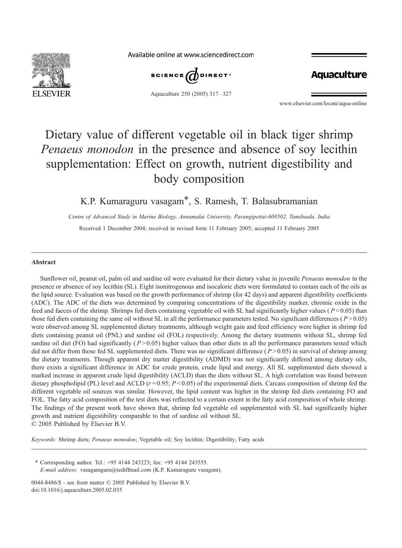

Available online at www.sciencedirect.com



Aquaculture 250 (2005) 317 – 327

**Aquaculture** 

www.elsevier.com/locate/aqua-online

# Dietary value of different vegetable oil in black tiger shrimp Penaeus monodon in the presence and absence of soy lecithin supplementation: Effect on growth, nutrient digestibility and body composition

# K.P. Kumaraguru vasagam\*, S. Ramesh, T. Balasubramanian

Centre of Advanced Study in Marine Biology, Annamalai University, Parangipettai-608502, Tamilnadu, India Received 1 December 2004; received in revised form 11 February 2005; accepted 11 February 2005

#### Abstract

Sunflower oil, peanut oil, palm oil and sardine oil were evaluated for their dietary value in juvenile Penaeus monodon in the presence or absence of soy lecithin (SL). Eight isonitrogenous and isocaloric diets were formulated to contain each of the oils as the lipid source. Evaluation was based on the growth performance of shrimp (for 42 days) and apparent digestibility coefficients (ADC). The ADC of the diets was determined by comparing concentrations of the digestibility marker, chromic oxide in the feed and faeces of the shrimp. Shrimps fed diets containing vegetable oil with SL had significantly higher values ( $P < 0.05$ ) than those fed diets containing the same oil without SL in all the performance parameters tested. No significant differences ( $P > 0.05$ ) were observed among SL supplemented dietary treatments, although weight gain and feed efficiency were higher in shrimp fed diets containing peanut oil (PNL) and sardine oil (FOL) respectively. Among the dietary treatments without SL, shrimp fed sardine oil diet (FO) had significantly ( $P > 0.05$ ) higher values than other diets in all the performance parameters tested which did not differ from those fed SL supplemented diets. There was no significant difference  $(P > 0.05)$  in survival of shrimp among the dietary treatments. Though apparent dry matter digestibility (ADMD) was not significantly differed among dietary oils, there exists a significant difference in ADC for crude protein, crude lipid and energy. All SL supplemented diets showed a marked increase in apparent crude lipid digestibility (ACLD) than the diets without SL. A high correlation was found between dietary phospholipid (PL) level and ACLD ( $r = 0.95$ ;  $P < 0.05$ ) of the experimental diets. Carcass composition of shrimp fed the different vegetable oil sources was similar. However, the lipid content was higher in the shrimp fed diets containing FO and FOL. The fatty acid composition of the test diets was reflected to a certain extent in the fatty acid composition of whole shrimp. The findings of the present work have shown that, shrimp fed vegetable oil supplemented with SL had significantly higher growth and nutrient digestibility comparable to that of sardine oil without SL.  $\odot$  2005 Published by Elsevier B.V.

Keywords: Shrimp diets; Penaeus monodon; Vegetable oil; Soy lecithin; Digestibility; Fatty acids

\* Corresponding author. Tel.:  $+95$  4144 243223; fax:  $+95$  4144 243555. E-mail address: vasagamguru@rediffmail.com (K.P. Kumaraguru vasagam).

0044-8486/\$ - see front matter  $\odot$  2005 Published by Elsevier B.V. doi:10.1016/j.aquaculture.2005.02.035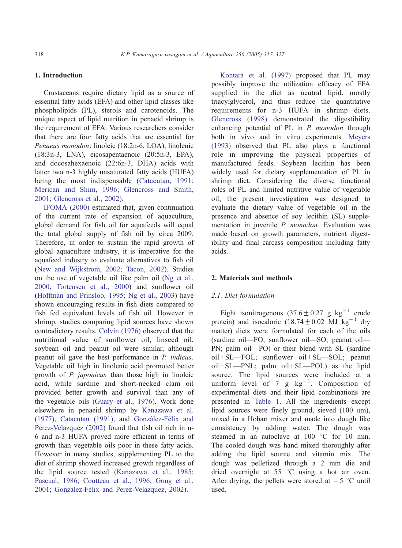# 1. Introduction

Crustaceans require dietary lipid as a source of essential fatty acids (EFA) and other lipid classes like phospholipids (PL), sterols and carotenoids. The unique aspect of lipid nutrition in penaeid shrimp is the requirement of EFA. Various researchers consider that there are four fatty acids that are essential for Penaeus monodon: linoleic (18:2n-6, LOA), linolenic (18:3n-3, LNA), eicosapentaenoic (20:5n-3, EPA), and docosahexaenoic (22:6n-3, DHA) acids with latter two n-3 highly unsaturated fatty acids (HUFA) being the most indispensable ([Catacutan, 1991;](#page-9-0) Merican and Shim, 1996; Glencross and Smith, 2001; Glencross et al., 2002).

[IFOMA \(2000\)](#page-9-0) estimated that, given continuation of the current rate of expansion of aquaculture, global demand for fish oil for aquafeeds will equal the total global supply of fish oil by circa 2009. Therefore, in order to sustain the rapid growth of global aquaculture industry, it is imperative for the aquafeed industry to evaluate alternatives to fish oil ([New and Wijkstrom, 2002; Tacon, 2002\)](#page-9-0). Studies on the use of vegetable oil like palm oil ([Ng et al.,](#page-9-0) 2000; Tortensen et al., 2000) and sunflower oil ([Hoffman and Prinsloo, 1995; Ng et al., 2003\)](#page-9-0) have shown encouraging results in fish diets compared to fish fed equivalent levels of fish oil. However in shrimp, studies comparing lipid sources have shown contradictory results. [Colvin \(1976\)](#page-9-0) observed that the nutritional value of sunflower oil, linseed oil, soybean oil and peanut oil were similar, although peanut oil gave the best performance in P. indicus. Vegetable oil high in linolenic acid promoted better growth of P. japonicus than those high in linoleic acid, while sardine and short-necked clam oil provided better growth and survival than any of the vegetable oils ([Guary et al., 1976\)](#page-9-0). Work done elsewhere in penaeid shrimp by [Kanazawa et al.](#page-9-0) (1977), [Catacutan \(1991\),](#page-9-0) and González-Félix and Perez-Velazquez (2002) found that fish oil rich in n-6 and n-3 HUFA proved more efficient in terms of growth than vegetable oils poor in these fatty acids. However in many studies, supplementing PL to the diet of shrimp showed increased growth regardless of the lipid source tested ([Kanazawa et al., 1985;](#page-9-0) Pascual, 1986; Coutteau et al., 1996; Gong et al., 2001; González-Félix and Perez-Velazquez, 2002).

[Kontara et al. \(1997\)](#page-9-0) proposed that PL may possibly improve the utilization efficacy of EFA supplied in the diet as neutral lipid, mostly triacylglycerol, and thus reduce the quantitative requirements for n-3 HUFA in shrimp diets. [Glencross \(1998\)](#page-9-0) demonstrated the digestibility enhancing potential of PL in P. monodon through both in vivo and in vitro experiments. [Meyers](#page-9-0) (1993) observed that PL also plays a functional role in improving the physical properties of manufactured feeds. Soybean lecithin has been widely used for dietary supplementation of PL in shrimp diet. Considering the diverse functional roles of PL and limited nutritive value of vegetable oil, the present investigation was designed to evaluate the dietary value of vegetable oil in the presence and absence of soy lecithin (SL) supplementation in juvenile P. monodon. Evaluation was made based on growth parameters, nutrient digestibility and final carcass composition including fatty acids.

## 2. Materials and methods

#### 2.1. Diet formulation

Eight isonitrogenous  $(37.6 \pm 0.27 \text{ g kg}^{-1} \text{ crude})$ protein) and isocaloric  $(18.74 \pm 0.02 \text{ MJ kg}^{-1} \text{ dry})$ matter) diets were formulated for each of the oils (sardine oil—FO; sunflower oil—SO; peanut oil— PN; palm oil—PO) or their blend with SL (sardine oil + SL—FOL; sunflower oil + SL—SOL; peanut oil + SL—PNL; palm oil + SL—POL) as the lipid source. The lipid sources were included at a uniform level of 7 g  $kg^{-1}$ . Composition of experimental diets and their lipid combinations are presented in [Table 1.](#page-2-0) All the ingredients except lipid sources were finely ground, sieved  $(100 \mu m)$ , mixed in a Hobart mixer and made into dough like consistency by adding water. The dough was steamed in an autoclave at  $100\degree C$  for 10 min. The cooled dough was hand mixed thoroughly after adding the lipid source and vitamin mix. The dough was pelletized through a 2 mm die and dried overnight at  $55^{\circ}$ C using a hot air oven. After drying, the pellets were stored at  $-5$  °C until used.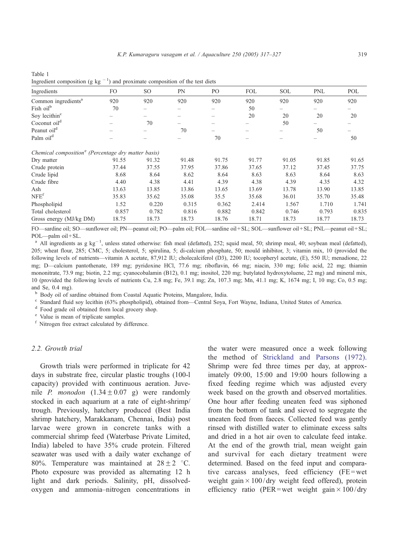| ingredient composition (g Rg                                    | and proximate composition of the test diets |       |       |                |            |            |            |       |  |  |
|-----------------------------------------------------------------|---------------------------------------------|-------|-------|----------------|------------|------------|------------|-------|--|--|
| Ingredients                                                     | FO.                                         | SO.   | PN    | P <sub>O</sub> | <b>FOL</b> | <b>SOL</b> | <b>PNL</b> | POL   |  |  |
| Common ingredients <sup>a</sup>                                 | 920                                         | 920   | 920   | 920            | 920        | 920        | 920        | 920   |  |  |
| Fish oil <sup>b</sup>                                           | 70                                          |       |       | -              | 50         |            |            |       |  |  |
| Soy lecithin <sup>c</sup>                                       |                                             |       |       |                | 20         | 20         | 20         | 20    |  |  |
| Coconut oil <sup>d</sup>                                        |                                             | 70    |       |                |            | 50         |            |       |  |  |
| Peanut oil <sup>d</sup>                                         |                                             |       | 70    |                |            |            | 50         |       |  |  |
| Palm oil <sup>d</sup>                                           |                                             |       |       | 70             |            |            |            | 50    |  |  |
| Chemical composition <sup>e</sup> (Percentage dry matter basis) |                                             |       |       |                |            |            |            |       |  |  |
| Dry matter                                                      | 91.55                                       | 91.32 | 91.48 | 91.75          | 91.77      | 91.05      | 91.85      | 91.65 |  |  |
| Crude protein                                                   | 37.44                                       | 37.55 | 37.95 | 37.86          | 37.65      | 37.12      | 37.45      | 37.75 |  |  |
| Crude lipid                                                     | 8.68                                        | 8.64  | 8.62  | 8.64           | 8.63       | 8.63       | 8.64       | 8.63  |  |  |
| Crude fibre                                                     | 4.40                                        | 4.38  | 4.41  | 4.39           | 4.38       | 4.39       | 4.35       | 4.32  |  |  |
| Ash                                                             | 13.63                                       | 13.85 | 13.86 | 13.65          | 13.69      | 13.78      | 13.90      | 13.85 |  |  |
| NFE <sup>f</sup>                                                | 35.83                                       | 35.62 | 35.08 | 35.5           | 35.68      | 36.01      | 35.70      | 35.48 |  |  |
| Phospholipid                                                    | 1.52                                        | 0.220 | 0.315 | 0.362          | 2.414      | 1.567      | 1.710      | 1.741 |  |  |
| Total cholesterol                                               | 0.857                                       | 0.782 | 0.816 | 0.882          | 0.842      | 0.746      | 0.793      | 0.835 |  |  |
| Gross energy (MJ/kg DM)                                         | 18.75                                       | 18.73 | 18.73 | 18.76          | 18.71      | 18.73      | 18.77      | 18.73 |  |  |

<span id="page-2-0"></span>Table 1 Ingredient composition (g kg  $^{-1}$ ) and proximate composition of the test diets

FO—sardine oil; SO—sunflower oil; PN—peanut oil; PO—palm oil; FOL—sardine oil + SL; SOL—sunflower oil + SL; PNL—peanut oil + SL; POL—palm oil + SL.

<sup>a</sup> All ingredients as g  $\text{kg}^{-1}$ , unless stated otherwise: fish meal (defatted), 252; squid meal, 50; shrimp meal, 40; soybean meal (defatted), 205; wheat flour, 285; CMC, 5; cholesterol, 5; spirulina, 5; di-calcium phosphate, 50; mould inhibitor, 3; vitamin mix, 10 (provided the following levels of nutrients—vitamin A acetate, 87,912 IU; cholecalciferol (D3), 2200 IU; tocopheryl acetate, (E), 550 IU; menadione, 22 mg; D—calcium pantothenate, 189 mg; pyridoxine HCl, 77.6 mg; riboflavin, 66 mg; niacin, 330 mg; folic acid, 22 mg; thiamin mononitrate, 73.9 mg; biotin, 2.2 mg; cyanocobalamin (B12), 0.1 mg; inositol, 220 mg; butylated hydroxytoluene, 22 mg) and mineral mix, 10 (provided the following levels of nutrients Cu, 2.8 mg; Fe, 39.1 mg; Zn, 107.3 mg; Mn, 41.1 mg; K, 1674 mg; I, 10 mg; Co, 0.5 mg; and Se, 0.4 mg).

b Body oil of sardine obtained from Coastal Aquatic Proteins, Mangalore, India.<br>
c Standard fluid soy lecithin (63% phospholipid), obtained from—Central Soya, Fort Wayne, Indiana, United States of America.<br>
d Food grade oi

 $f$  Nitrogen free extract calculated by difference.

#### 2.2. Growth trial

Growth trials were performed in triplicate for 42 days in substrate free, circular plastic troughs (100-l capacity) provided with continuous aeration. Juvenile *P. monodon*  $(1.34 \pm 0.07 \text{ g})$  were randomly stocked in each aquarium at a rate of eight-shrimp/ trough. Previously, hatchery produced (Best India shrimp hatchery, Marakkanam, Chennai, India) post larvae were grown in concrete tanks with a commercial shrimp feed (Waterbase Private Limited, India) labeled to have 35% crude protein. Filtered seawater was used with a daily water exchange of 80%. Temperature was maintained at  $28 \pm 2$  °C. Photo exposure was provided as alternating 12 h light and dark periods. Salinity, pH, dissolvedoxygen and ammonia–nitrogen concentrations in the water were measured once a week following the method of [Strickland and Parsons \(1972\).](#page-9-0) Shrimp were fed three times per day, at approximately 09:00, 15:00 and 19:00 hours following a fixed feeding regime which was adjusted every week based on the growth and observed mortalities. One hour after feeding uneaten feed was siphoned from the bottom of tank and sieved to segregate the uneaten feed from faeces. Collected feed was gently rinsed with distilled water to eliminate excess salts and dried in a hot air oven to calculate feed intake. At the end of the growth trial, mean weight gain and survival for each dietary treatment were determined. Based on the feed input and comparative carcass analyses, feed efficiency (FE = wet weight gain  $\times$  100/dry weight feed offered), protein efficiency ratio (PER=wet weight gain  $\times$  100/dry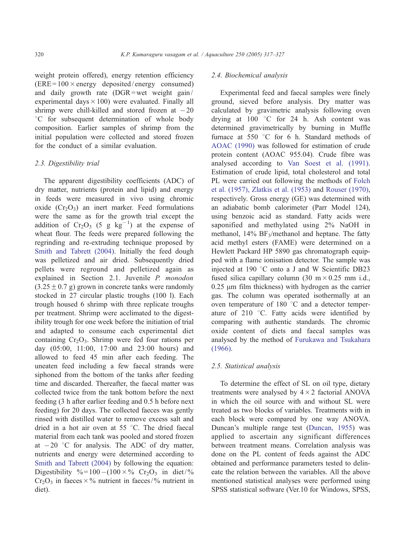weight protein offered), energy retention efficiency  $(ERE = 100 \times energy$  deposited/energy consumed) and daily growth rate  $(DGR = wet weight gain /$ experimental days  $\times$  100) were evaluated. Finally all shrimp were chill-killed and stored frozen at  $-20$ <sup>°</sup>C for subsequent determination of whole body composition. Earlier samples of shrimp from the initial population were collected and stored frozen for the conduct of a similar evaluation.

# 2.3. Digestibility trial

The apparent digestibility coefficients (ADC) of dry matter, nutrients (protein and lipid) and energy in feeds were measured in vivo using chromic oxide  $(Cr_2O_3)$  an inert marker. Feed formulations were the same as for the growth trial except the addition of  $Cr_2O_3$  (5 g kg<sup>-1</sup>) at the expense of wheat flour. The feeds were prepared following the regrinding and re-extruding technique proposed by [Smith and Tabrett \(2004\).](#page-9-0) Initially the feed dough was pelletized and air dried. Subsequently dried pellets were reground and pelletized again as explained in Section 2.1. Juvenile P. monodon  $(3.25 \pm 0.7 \text{ g})$  grown in concrete tanks were randomly stocked in 27 circular plastic troughs (100 l). Each trough housed 6 shrimp with three replicate troughs per treatment. Shrimp were acclimated to the digestibility trough for one week before the initiation of trial and adapted to consume each experimental diet containing  $Cr_2O_3$ . Shrimp were fed four rations per day (05:00, 11:00, 17:00 and 23:00 hours) and allowed to feed 45 min after each feeding. The uneaten feed including a few faecal strands were siphoned from the bottom of the tanks after feeding time and discarded. Thereafter, the faecal matter was collected twice from the tank bottom before the next feeding (3 h after earlier feeding and 0.5 h before next feeding) for 20 days. The collected faeces was gently rinsed with distilled water to remove excess salt and dried in a hot air oven at  $55^{\circ}$ C. The dried faecal material from each tank was pooled and stored frozen at  $-20$  °C for analysis. The ADC of dry matter, nutrients and energy were determined according to [Smith and Tabrett \(2004\)](#page-9-0) by following the equation: Digestibility %=100 - (100 × % Cr<sub>2</sub>O<sub>3</sub> in diet/%  $Cr_2O_3$  in faeces  $\times$ % nutrient in faeces/% nutrient in diet).

### 2.4. Biochemical analysis

Experimental feed and faecal samples were finely ground, sieved before analysis. Dry matter was calculated by gravimetric analysis following oven drying at  $100$  °C for 24 h. Ash content was determined gravimetrically by burning in Muffle furnace at 550  $\degree$ C for 6 h. Standard methods of [AOAC \(1990\)](#page-8-0) was followed for estimation of crude protein content (AOAC 955.04). Crude fibre was analysed according to [Van Soest et al. \(1991\).](#page-10-0) Estimation of crude lipid, total cholesterol and total PL were carried out following the methods of [Folch](#page-9-0) et al. (1957), Zlatkis et al. (1953) and [Rouser \(1970\),](#page-9-0) respectively. Gross energy (GE) was determined with an adiabatic bomb calorimeter (Parr Model 124), using benzoic acid as standard. Fatty acids were saponified and methylated using 2% NaOH in methanol,  $14\%$  BF<sub>3</sub>/methanol and heptane. The fatty acid methyl esters (FAME) were determined on a Hewlett Packard HP 5890 gas chromatograph equipped with a flame ionisation detector. The sample was injected at 190 $\degree$ C onto a J and W Scientific DB23 fused silica capillary column  $(30 \text{ m} \times 0.25 \text{ mm} \text{ i.d.},$  $0.25 \mu m$  film thickness) with hydrogen as the carrier gas. The column was operated isothermally at an oven temperature of 180  $\degree$ C and a detector temperature of 210  $\degree$ C. Fatty acids were identified by comparing with authentic standards. The chromic oxide content of diets and faecal samples was analysed by the method of [Furukawa and Tsukahara](#page-9-0) (1966).

#### 2.5. Statistical analysis

To determine the effect of SL on oil type, dietary treatments were analysed by  $4 \times 2$  factorial ANOVA in which the oil source with and without SL were treated as two blocks of variables. Treatments with in each block were compared by one way ANOVA. Duncan's multiple range test ([Duncan, 1955\)](#page-9-0) was applied to ascertain any significant differences between treatment means. Correlation analysis was done on the PL content of feeds against the ADC obtained and performance parameters tested to delineate the relation between the variables. All the above mentioned statistical analyses were performed using SPSS statistical software (Ver.10 for Windows, SPSS,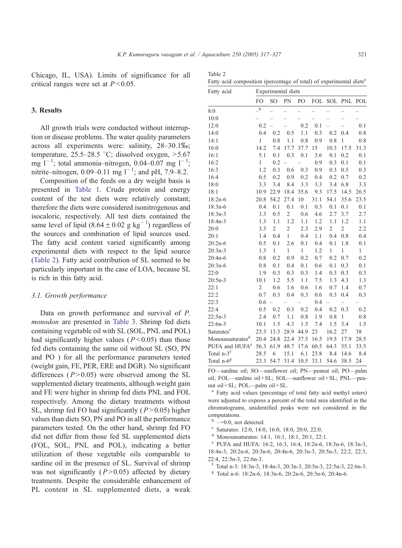Table 2

Chicago, IL, USA). Limits of significance for all critical ranges were set at  $P < 0.05$ .

# 3. Results

All growth trials were conducted without interru tion or disease problems. The water quality parameters across all experiments were: salinity, 28–30.1% temperature, 25.5–28.5 °C; dissolved oxygen,  $>5.6$ mg  $1^{-1}$ ; total ammonia-nitrogen, 0.04-0.07 mg  $1^{-1}$ ; nitrite–nitrogen, 0.09–0.11 mg  $1^{-1}$ ; and pH, 7.9–8.2.

Composition of the feeds on a dry weight basis is presented in [Table 1.](#page-2-0) Crude protein and energy content of the test diets were relatively constant; therefore the diets were considered isonitrogenous and isocaloric, respectively. All test diets contained the same level of lipid  $(8.64 \pm 0.02 \text{ g kg}^{-1})$  regardless of the sources and combination of lipid sources used. The fatty acid content varied significantly among experimental diets with respect to the lipid source (Table 2). Fatty acid contribution of SL seemed to be particularly important in the case of LOA, because SL is rich in this fatty acid.

#### 3.1. Growth performance

Data on growth performance and survival of P. monodon are presented in [Table 3.](#page-5-0) Shrimp fed diets containing vegetable oil with SL (SOL, PNL and POL) had significantly higher values ( $P < 0.05$ ) than those fed diets containing the same oil without SL (SO, PN and PO ) for all the performance parameters tested (weight gain, FE, PER, ERE and DGR). No significant differences ( $P > 0.05$ ) were observed among the SL supplemented dietary treatments, although weight gain and FE were higher in shrimp fed diets PNL and FOL respectively. Among the dietary treatments without SL, shrimp fed FO had significantly ( $P > 0.05$ ) higher values than diets SO, PN and PO in all the performance parameters tested. On the other hand, shrimp fed FO did not differ from those fed SL supplemented diets (FOL, SOL, PNL and POL), indicating a better utilization of those vegetable oils comparable to sardine oil in the presence of SL. Survival of shrimp was not significantly  $(P > 0.05)$  affected by dietary treatments. Despite the considerable enhancement of PL content in SL supplemented diets, a weak

|      | 10:0          |                                         |  |                           |     |
|------|---------------|-----------------------------------------|--|---------------------------|-----|
| $p-$ | 12:0          | $0.2 - -0.2 \quad 0.1 - -$              |  |                           | 0.1 |
|      | 14:0          | 0.4 0.2 0.5 1.1 0.3 0.2 0.4 0.8         |  |                           |     |
| rs   | 14:1          |                                         |  | 0.8 1.1 0.8 0.9 0.8 1 0.8 |     |
| bo;  | 16:0          | 14.2 7.4 17.7 37.7 15 10.3 17.5 31.3    |  |                           |     |
| 57   | 16:1          | 5.1 0.1 0.3 0.1 3.6 0.1 0.2 0.1         |  |                           |     |
| 1.   | 16:2          | $1 \t 0.2 - - 0.9 \t 0.3 \t 0.1 \t 0.1$ |  |                           |     |
| 2.   | 16:3          | 1.2 0.3 0.6 0.3 0.9 0.3 0.5 0.3         |  |                           |     |
|      | $1 \subset A$ | 05 02 00 02 04 02 07 02                 |  |                           |     |

Fatty acid Experimental diets

| 16:0                                          | 14.2           | 7.4              |                 |              | 17.7 37.7 15             |                       | 10.3 17.5 31.3 |      |
|-----------------------------------------------|----------------|------------------|-----------------|--------------|--------------------------|-----------------------|----------------|------|
| 16:1                                          | 5.1            | 0.1              | 0.3             | 0.1          | 3.6                      | 0.1                   | 0.2            | 0.1  |
| 16:2                                          | 1              | 0.2              |                 |              | 0.9 <sub>o</sub>         | 0.3                   | 0.1            | 0.1  |
| 16:3                                          | 1.2            | 0.3              | 0.6             | 0.3          | 0.9 <sub>o</sub>         | 0.3                   | 0.5            | 0.3  |
| 16:4                                          | 0.5            | 0.2              | 0.9             | 0.2          | 0.4                      | 0.2                   | 0.7            | 0.2  |
| 18:0                                          | 3.3            | 3.4              | 8.4             | 3.3          | 3.3                      | 3.4                   | 6.8            | 3.3  |
| 18:1                                          |                | 10.9 22.9        |                 |              | 18.4 35.6 9.3            |                       | 17.5 14.5      | 26.5 |
| $18:2n-6$                                     | 20.8           | 54.2             | 27.4            | 10           | 31.1                     | 54.1                  | 35.6           | 23.5 |
| $18:3n-6$                                     | 0.4            | 0.1              | 0.1             | 0.1          | 0.3                      | 0.1                   | 0.1            | 0.1  |
| $18:3n-3$                                     | 3.3            | 0.5              | $\mathfrak{2}$  | 0.6          | 4.6                      | 2.7                   | 3.7            | 2.7  |
| $18:4n-3$                                     | 1.3            | 1.1              | 1.2             | 1.1          | 1.2                      | 1.1                   | 1.2            | 1.1  |
| 20:0                                          | 3.3            | $\overline{2}$   | $\mathfrak{2}$  | 2.3          | 2.9                      | $\overline{c}$        | $\overline{2}$ | 2.2  |
| 20:1                                          | 1.4            | 0.4              | $\mathbf{1}$    | 0.4          | 1.1                      | 0.4                   | 0.8            | 0.4  |
| $20:2n-6$                                     | 0.5            | 0.1              | 2.6             | 0.1          | 0.4                      | 0.1                   | 1.8            | 0.1  |
| $20:3n-3$                                     | 1.3            | $\mathbf{1}$     | $\mathbf{1}$    | $\mathbf{1}$ | 1.2                      | $\mathbf{1}$          | $\mathbf{1}$   | 1    |
| $20:4n-6$                                     | 0.8            | 0.2              | 0.9             | 0.2          | 0.7                      | 0.2                   | 0.7            | 0.2  |
| $20:3n-6$                                     | $0.8\,$        | 0.1              | 0.4             | 0.1          | 0.6                      | 0.1                   | 0.3            | 0.1  |
| 22:0                                          | 1.9            | 0.3              | 0.3             | 0.3          | 1.4                      | 0.3                   | 0.3            | 0.3  |
| $20:5n-3$                                     | 10.1           | 1.2              | 5.5             | 1.1          | 7.5                      | 1.3                   | 4.3            | 1.3  |
| 22:1                                          | $\overline{2}$ | 0.6              | 1.6             | 0.6          | 1.6                      | 0.7                   | 1.4            | 0.7  |
| 22:2                                          | 0.7            | 0.3              | 0.4             | 0.3          | 0.6                      | 0.3                   | 0.4            | 0.3  |
| 22:3                                          | 0.6            |                  |                 |              | 0.4                      |                       | $-$            |      |
| 22:4                                          | 0.5            |                  | $0.2 \quad 0.3$ | 0.2          | 0.4                      | $0.2 \quad 0.3$       |                | 0.2  |
| $22:5n-3$                                     | 2.4            | 0.7              | 1.1             |              | $0.8$ 1.9                | 0.8                   | $\mathbf{1}$   | 0.8  |
| $22:6n-3$                                     |                | $10.1 \quad 1.5$ | 4.3             |              |                          | $1.5$ 7.4 $1.5$       | 3.4            | 1.5  |
| Saturates <sup>c</sup>                        | 23.3 13.3      |                  |                 | 28.9 44.9 23 |                          | 16.2                  | 27             | 38   |
| Monounsaturates $^d$ 20.4 24.8 22.4 37.5 16.5 |                |                  |                 |              |                          |                       | 19.5 17.9      | 28.5 |
| PUFA and HUFA <sup>e</sup> 56.3               |                | 61.9             | 48.7            |              | 17.6 60.5                | 64.3                  | 55.1           | 33.5 |
| Total n-3 <sup>f</sup>                        | 28.5 6         |                  | 15.1            |              |                          | 6.1 23.8 8.4 14.6 8.4 |                |      |
| Total n-6 <sup>g</sup>                        |                |                  |                 |              | 23.3 54.7 31.4 10.5 33.1 | 54.6 38.5             |                | 24   |
|                                               |                |                  |                 |              |                          |                       |                |      |

Fatty acid composition (percentage of total) of experimental diets<sup>a</sup>

8:0  $-$ 

FO SO PN PO FOL SOL PNL POL

FO—sardine oil; SO—sunflower oil; PN—peanut oil; PO—palm oil; FOL—sardine oil+ SL; SOL—sunflower oil + SL; PNL—peanut oil+SL; POL—palm oil+SL.

Fatty acid values (percentage of total fatty acid methyl esters) were adjusted to express a percent of the total area identified in the chromatograms, unidentified peaks were not considered in the computations.

 $b$  –=0.0, not detected.<br>
<sup>c</sup> Saturates: 12:0, 14:0, 16:0, 18:0, 20:0, 22:0.<br>
<sup>d</sup> Monounsaturates: 14:1, 16:1, 18:1, 20:1, 22:1.

<sup>e</sup> PUFA and HUFA: 16:2, 16:3, 16:4, 18:2n-6, 18:3n-6, 18:3n-3, 18:4n-3, 20:2n-6, 20:3n-6, 20:4n-6, 20:3n-3, 20:5n-3, 22:2, 22:3, 22:4, 22:5n-3, 22:6n-3.

- <sup>f</sup> Total n-3: 18:3n-3, 18:4n-3, 20:3n-3, 20:5n-3, 22:5n-3, 22:6n-3.
- <sup>g</sup> Total n-6: 18:2n-6, 18:3n-6, 20:2n-6, 20:3n-6, 20:4n-6.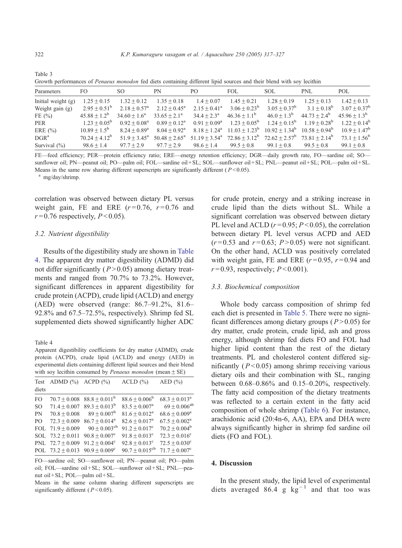<span id="page-5-0"></span>

| Table 3                                                                                                                      |  |  |  |  |  |  |  |
|------------------------------------------------------------------------------------------------------------------------------|--|--|--|--|--|--|--|
| Growth performances of <i>Penaeus monodon</i> fed diets containing different lipid sources and their blend with soy lecithin |  |  |  |  |  |  |  |

| Parameters           | FO.                   | SO.                        | PN                     | PO.                        | FOL.                    | SOL.                              | PNL              | POL                     |
|----------------------|-----------------------|----------------------------|------------------------|----------------------------|-------------------------|-----------------------------------|------------------|-------------------------|
| Initial weight $(g)$ | $1.25 + 0.15$         | $1.32 + 0.12$              | $1.35 + 0.18$          | $1.4 + 0.07$               | $1.45 + 0.21$           | $1.28 + 0.19$                     | $1.25 + 0.13$    | $1.42 + 0.13$           |
| Weight gain $(g)$    | $2.95 + 0.51^b$       | $2.18 + 0.57^{\rm a}$      | $2.12 + 0.45^{\circ}$  | $2.15 \pm 0.41^{\circ}$    | $3.06 \pm 0.23^{\rm b}$ | $3.05 + 0.37^b$                   | $3.1 + 0.18^{b}$ | $3.07 + 0.37^b$         |
| FE $(\% )$           | $45.88 + 1.2^b$       | $34.60 + 1.6^a$            | $33.65 + 2.1^a$        | $34.4 + 2.3^{\rm a}$       | $46.36 \pm 1.1^{\rm b}$ | $46.0 + 1.3^b$                    | $44.73 + 2.4^b$  | $45.96 \pm 1.3^{\rm b}$ |
| PER                  | $1.23 + 0.05^{\circ}$ | $0.92 + 0.08^a$            | $0.89 + 0.12^a$        | $0.91 \pm 0.09^a$          | $1.23 + 0.05^{\rm b}$   | $1.24 + 0.15^b$                   | $1.19 + 0.28^b$  | $1.22 + 0.14^b$         |
| ERE $(\% )$          | $10.89 + 1.5^{b}$     | $8.24 + 0.89$ <sup>a</sup> | $8.04 + 0.92^{\rm a}$  | $8.18 + 1.24$ <sup>a</sup> | $11.03 + 1.23^b$        | $10.92 + 1.34^b$ $10.58 + 0.94^b$ |                  | $10.9 + 1.47^b$         |
| DGR <sup>a</sup>     | $70.24 + 4.12^b$      | $51.9 + 3.45^{\circ}$      | $50.48 + 2.65^{\rm a}$ | $51.19 + 3.54^{\circ}$     | $72.86 \pm 3.12^b$      | $72.62 + 2.57^b$                  | $73.81 + 2.14^b$ | $73.1 + 1.56^b$         |
| Survival $(\% )$     | $98.6 + 1.4$          | $97.7 + 2.9$               | $97.7 + 2.9$           | $98.6 + 1.4$               | $99.5 + 0.8$            | $99.1 + 0.8$                      | $99.5 + 0.8$     | $99.1 + 0.8$            |

FE—feed efficiency; PER—protein efficiency ratio; ERE—energy retention efficiency; DGR—daily growth rate, FO—sardine oil; SO sunflower oil; PN—peanut oil; PO—palm oil; FOL—sardine oil+SL; SOL—sunflower oil+SL; PNL—peanut oil+SL; POL—palm oil+SL. Means in the same row sharing different superscripts are significantly different ( $P < 0.05$ ). a mg/day/shrimp.

correlation was observed between dietary PL versus weight gain, FE and ERE  $(r=0.76, r=0.76$  and  $r = 0.76$  respectively,  $P \le 0.05$ ).

## 3.2. Nutrient digestibility

Results of the digestibility study are shown in Table 4. The apparent dry matter digestibility (ADMD) did not differ significantly ( $P > 0.05$ ) among dietary treatments and ranged from 70.7% to 73.2%. However, significant differences in apparent digestibility for crude protein (ACPD), crude lipid (ACLD) and energy (AED) were observed (range: 86.7–91.2%, 81.6– 92.8% and 67.5–72.5%, respectively). Shrimp fed SL supplemented diets showed significantly higher ADC

Table 4

Apparent digestibility coefficients for dry matter (ADMD), crude protein (ACPD), crude lipid (ACLD) and energy (AED) in experimental diets containing different lipid sources and their blend with soy lecithin consumed by *Penaeus monodon* (mean  $\pm$  SE)

| Test<br>diets  | ADMD $(\%)$ ACPD $(\%)$ |                                                | $ACLD$ $(\% )$                | AED $(\% )$                 |
|----------------|-------------------------|------------------------------------------------|-------------------------------|-----------------------------|
| F <sub>O</sub> | $70.7 + 0.008$          | $88.8 + 0.011^b$                               | $88.6 + 0.006^b$              | $68.3 + 0.013^a$            |
| <sub>SO</sub>  | $71.4 \pm 0.007$        | $89.3 + 0.013^b$                               | $83.5 + 0.007^{\rm a}$        | $69 + 0.006^{ab}$           |
| PN             | $70.8 + 0.008$          | $89 \pm 0.007^{\rm b}$                         | $81.6 + 0.012^a$              | $68.6 + 0.009$ <sup>a</sup> |
| P <sub>O</sub> | $72.3 + 0.009$          | $86.7 + 0.014^a$                               | $82.6 \pm 0.017$ <sup>a</sup> | $67.5 + 0.002^a$            |
| FOL.           | $71.9 + 0.009$          | $90 + 0.003^{\text{cb}}$                       | $91.2 + 0.017$ <sup>c</sup>   | $70.2 + 0.004^b$            |
|                | SOL $73.2 + 0.011$      | $90.8 + 0.007^{\circ}$                         | $91.8 + 0.013^{\circ}$        | $72.3 + 0.016^{\circ}$      |
|                | PNL $72.7 + 0.009$      | $91.2 + 0.004^{\circ}$                         | $92.8 + 0.013^{\circ}$        | $72.5 + 0.030^{\circ}$      |
|                |                         | POL $73.2 + 0.013$ $90.9 + 0.009$ <sup>c</sup> | $90.7 + 0.015^{\text{cb}}$    | $71.7 + 0.007^{\circ}$      |

FO—sardine oil; SO—sunflower oil; PN—peanut oil; PO—palm oil; FOL—sardine oil + SL; SOL—sunflower oil + SL; PNL—peanut oil + SL; POL—palm oil + SL.

Means in the same column sharing different superscripts are significantly different ( $P < 0.05$ ).

for crude protein, energy and a striking increase in crude lipid than the diets without SL. While a significant correlation was observed between dietary PL level and ACLD  $(r=0.95; P<0.05)$ , the correlation between dietary PL level versus ACPD and AED  $(r=0.53 \text{ and } r=0.63; P>0.05)$  were not significant. On the other hand, ACLD was positively correlated with weight gain, FE and ERE  $(r=0.95, r=0.94$  and  $r = 0.93$ , respectively;  $P \le 0.001$ ).

#### 3.3. Biochemical composition

Whole body carcass composition of shrimp fed each diet is presented in [Table 5.](#page-6-0) There were no significant differences among dietary groups ( $P > 0.05$ ) for dry matter, crude protein, crude lipid, ash and gross energy, although shrimp fed diets FO and FOL had higher lipid content than the rest of the dietary treatments. PL and cholesterol content differed significantly ( $P < 0.05$ ) among shrimp receiving various dietary oils and their combination with SL, ranging between 0.68–0.86% and 0.15–0.20%, respectively. The fatty acid composition of the dietary treatments was reflected to a certain extent in the fatty acid composition of whole shrimp ([Table 6\)](#page-7-0). For instance, arachidonic acid (20:4n-6, AA), EPA and DHA were always significantly higher in shrimp fed sardine oil diets (FO and FOL).

# 4. Discussion

In the present study, the lipid level of experimental diets averaged 86.4 g  $kg^{-1}$  and that too was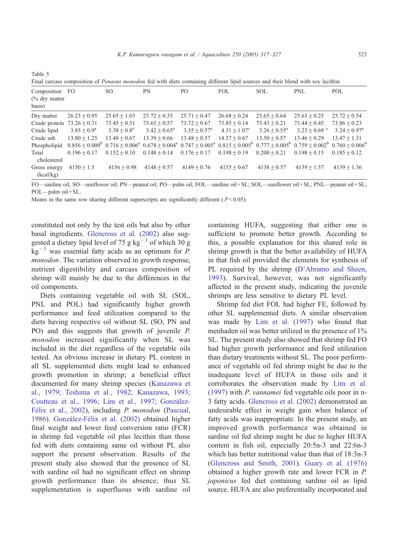<span id="page-6-0"></span>Table 5

Final carcass composition of *Penaeus monodon* fed with diets containing different lipid sources and their blend with soy lecithin Composition (% dry matter basis) FO SO PN PO FOL SOL PNL POL Dry matter  $26.23 \pm 0.95$   $25.65 \pm 1.03$   $25.72 \pm 0.35$   $25.71 \pm 0.47$   $26.68 \pm 0.24$   $25.65 \pm 0.64$   $25.63 \pm 0.25$   $25.72 \pm 0.54$ Crude protein  $73.26 \pm 0.31$   $73.45 \pm 0.51$   $73.65 \pm 0.57$   $73.72 \pm 0.67$   $73.85 \pm 0.14$   $73.43 \pm 0.21$   $73.44 \pm 0.45$   $73.86 \pm 0.23$ Crude lipid  $3.85 \pm 0.9^a$   $3.38 \pm 0.8^a$   $3.42 \pm 0.65^a$   $3.55 \pm 0.57^a$   $4.31 \pm 1.07^c$   $3.26 \pm 0.55^a$   $3.23 \pm 0.69$  a  $3.24 \pm 0.97^a$ Crude ash  $13.80 \pm 1.25$   $13.48 \pm 0.67$   $13.39 \pm 0.66$   $13.48 \pm 0.57$   $14.37 \pm 0.67$   $13.50 \pm 0.57$   $13.46 \pm 0.29$   $13.47 \pm 1.31$ Phospholipid  $0.856 \pm 0.009^{\mathrm{b}}$   $0.716 \pm 0.006^{\mathrm{a}}$   $0.678 \pm 0.004^{\mathrm{a}}$   $0.747 \pm 0.005^{\mathrm{a}}$   $0.815 \pm 0.005^{\mathrm{b}}$   $0.777 \pm 0.005^{\mathrm{b}}$   $0.759 \pm 0.002^{\mathrm{b}}$   $0.760 \pm 0.006^{\mathrm{b}}$ Total cholesterol  $0.196 \pm 0.17$   $0.152 \pm 0.10$   $0.148 \pm 0.14$   $0.176 \pm 0.17$   $0.198 \pm 0.19$   $0.200 \pm 0.21$   $0.198 \pm 0.15$   $0.185 \pm 0.12$ Gross energy (kcal/kg)  $4150 \pm 1.5$   $4156 \pm 0.98$   $4148 \pm 0.57$   $4149 \pm 0.76$   $4135 \pm 0.67$   $4138 \pm 0.57$   $4139 \pm 1.57$   $4139 \pm 1.36$ 

FO—sardine oil; SO—sunflower oil; PN—peanut oil; PO—palm oil; FOL—sardine oil + SL; SOL—sunflower oil + SL; PNL—peanut oil + SL; POL-palm oil + SL.

Means in the same row sharing different superscripts are significantly different ( $P < 0.05$ ).

constituted not only by the test oils but also by other basal ingredients. [Glencross et al. \(2002\)](#page-9-0) also suggested a dietary lipid level of 75 g kg<sup>-1</sup> of which 30 g  $kg^{-1}$  was essential fatty acids as an optimum for P. monodon. The variation observed in growth response, nutrient digestibility and carcass composition of shrimp will mainly be due to the differences in the oil components.

Diets containing vegetable oil with SL (SOL, PNL and POL) had significantly higher growth performance and feed utilization compared to the diets having respective oil without SL (SO, PN and PO) and this suggests that growth of juvenile P. monodon increased significantly when SL was included in the diet regardless of the vegetable oils tested. An obvious increase in dietary PL content in all SL supplemented diets might lead to enhanced growth promotion in shrimp; a beneficial effect documented for many shrimp species ([Kanazawa et](#page-9-0) al., 1979; Teshima et al., 1982; Kanazawa, 1993; Coutteau et al., 1996; Lim et al., 1997; González-Félix et al., 2002), including P. monodon ([Pascual,](#page-9-0) 1986). González-Félix et al. (2002) obtained higher final weight and lower feed conversion ratio (FCR) in shrimp fed vegetable oil plus lecithin than those fed with diets containing same oil without PL also support the present observation. Results of the present study also showed that the presence of SL with sardine oil had no significant effect on shrimp growth performance than its absence; thus SL supplementation is superfluous with sardine oil containing HUFA, suggesting that either one is sufficient to promote better growth. According to this, a possible explanation for this shared role in shrimp growth is that the better availability of HUFA in that fish oil provided the elements for synthesis of PL required by the shrimp ([D'Abramo and Sheen,](#page-9-0) 1993). Survival, however, was not significantly affected in the present study, indicating the juvenile shrimps are less sensitive to dietary PL level.

Shrimp fed diet FOL had higher FE, followed by other SL supplemented diets. A similar observation was made by [Lim et al. \(1997\)](#page-9-0) who found that menhaden oil was better utilized in the presence of 1% SL. The present study also showed that shrimp fed FO had higher growth performance and feed utilization than dietary treatments without SL. The poor performance of vegetable oil fed shrimp might be due to the inadequate level of HUFA in those oils and it corroborates the observation made by [Lim et al.](#page-9-0) (1997) with P. vannamei fed vegetable oils poor in n-3 fatty acids. [Glencross et al. \(2002\)](#page-9-0) demonstrated an undesirable effect in weight gain when balance of fatty acids was inappropriate. In the present study, an improved growth performance was obtained in sardine oil fed shrimp might be due to higher HUFA content in fish oil, especially 20:5n-3 and 22:6n-3 which has better nutritional value than that of 18:3n-3 ([Glencross and Smith, 2001\)](#page-9-0). [Guary et al. \(1976\)](#page-9-0) obtained a higher growth rate and lower FCR in P. japonicus fed diet containing sardine oil as lipid source. HUFA are also preferentially incorporated and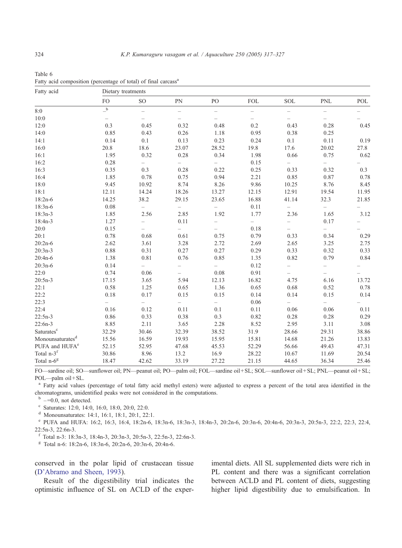| Fatty acid                   | Dietary treatments       |                          |                                   |                                   |                          |                          |                          |       |  |  |  |
|------------------------------|--------------------------|--------------------------|-----------------------------------|-----------------------------------|--------------------------|--------------------------|--------------------------|-------|--|--|--|
|                              | <b>FO</b>                | SO <sub>1</sub>          | PN                                | PO                                | <b>FOL</b>               | <b>SOL</b>               | <b>PNL</b>               | POL   |  |  |  |
| 8:0                          | $\_^{\rm b}$             | $\qquad \qquad -$        | $\qquad \qquad -$                 | $\hspace{1.0cm} - \hspace{1.0cm}$ | $\qquad \qquad -$        | $\qquad \qquad -$        | $\overline{\phantom{0}}$ |       |  |  |  |
| 10:0                         | $\overline{\phantom{a}}$ | $\overline{\phantom{0}}$ | $\overline{\phantom{0}}$          | $\overline{\phantom{0}}$          | $\overline{\phantom{0}}$ |                          |                          |       |  |  |  |
| 12:0                         | 0.3                      | 0.45                     | 0.32                              | 0.48                              | 0.2                      | 0.43                     | 0.28                     | 0.45  |  |  |  |
| 14:0                         | 0.85                     | 0.43                     | 0.26                              | 1.18                              | 0.95                     | 0.38                     | 0.25                     |       |  |  |  |
| 14:1                         | 0.14                     | 0.1                      | 0.13                              | 0.23                              | 0.24                     | 0.1                      | 0.11                     | 0.19  |  |  |  |
| 16:0                         | 20.8                     | 18.6                     | 23.07                             | 28.52                             | 19.8                     | 17.6                     | 20.02                    | 27.8  |  |  |  |
| 16:1                         | 1.95                     | 0.32                     | 0.28                              | 0.34                              | 1.98                     | 0.66                     | 0.75                     | 0.62  |  |  |  |
| 16:2                         | 0.28                     | $\overline{\phantom{0}}$ | $\hspace{1.0cm} - \hspace{1.0cm}$ | $\qquad \qquad -$                 | 0.15                     | $\qquad \qquad -$        | $\overline{\phantom{0}}$ |       |  |  |  |
| 16:3                         | 0.35                     | 0.3                      | 0.28                              | 0.22                              | 0.25                     | 0.33                     | 0.32                     | 0.3   |  |  |  |
| 16:4                         | 1.85                     | 0.78                     | 0.75                              | 0.94                              | 2.21                     | 0.85                     | 0.87                     | 0.78  |  |  |  |
| 18:0                         | 9.45                     | 10.92                    | 8.74                              | 8.26                              | 9.86                     | 10.25                    | 8.76                     | 8.45  |  |  |  |
| 18:1                         | 12.11                    | 14.24                    | 18.26                             | 13.27                             | 12.15                    | 12.91                    | 19.54                    | 11.95 |  |  |  |
| $18:2n-6$                    | 14.25                    | 38.2                     | 29.15                             | 23.65                             | 16.88                    | 41.14                    | 32.3                     | 21.85 |  |  |  |
| $18:3n-6$                    | 0.08                     | $\overline{\phantom{0}}$ | $\qquad \qquad -$                 | $\overline{\phantom{0}}$          | 0.11                     | $\qquad \qquad -$        | $\overline{\phantom{0}}$ |       |  |  |  |
| $18:3n-3$                    | 1.85                     | 2.56                     | 2.85                              | 1.92                              | 1.77                     | 2.36                     | 1.65                     | 3.12  |  |  |  |
| 18:4n-3                      | 1.27                     |                          | 0.11                              |                                   | $\overline{\phantom{0}}$ |                          | 0.17                     |       |  |  |  |
| 20:0                         | 0.15                     | $\overline{\phantom{0}}$ | $\overline{\phantom{0}}$          | $\overline{\phantom{0}}$          | 0.18                     |                          | $\overline{\phantom{0}}$ |       |  |  |  |
| 20:1                         | 0.78                     | 0.68                     | 0.61                              | 0.75                              | 0.79                     | 0.33                     | 0.34                     | 0.29  |  |  |  |
| $20:2n-6$                    | 2.62                     | 3.61                     | 3.28                              | 2.72                              | 2.69                     | 2.65                     | 3.25                     | 2.75  |  |  |  |
| $20:3n-3$                    | 0.88                     | 0.31                     | 0.27                              | 0.27                              | 0.29                     | 0.33                     | 0.32                     | 0.33  |  |  |  |
| 20:4n-6                      | 1.38                     | 0.81                     | 0.76                              | 0.85                              | 1.35                     | 0.82                     | 0.79                     | 0.84  |  |  |  |
| $20:3n-6$                    | 0.14                     | $\overline{\phantom{0}}$ |                                   | $\overline{\phantom{0}}$          | 0.12                     |                          |                          |       |  |  |  |
| 22:0                         | 0.74                     | 0.06                     | $\overline{\phantom{0}}$          | 0.08                              | 0.91                     | $\overline{\phantom{0}}$ |                          |       |  |  |  |
| $20:5n-3$                    | 17.15                    | 3.65                     | 5.94                              | 12.13                             | 16.82                    | 4.75                     | 6.16                     | 13.72 |  |  |  |
| 22:1                         | 0.58                     | 1.25                     | 0.65                              | 1.36                              | 0.65                     | 0.68                     | 0.52                     | 0.78  |  |  |  |
| 22:2                         | 0.18                     | 0.17                     | 0.15                              | 0.15                              | 0.14                     | 0.14                     | 0.15                     | 0.14  |  |  |  |
| 22:3                         | $-$                      | $\overline{\phantom{0}}$ | $\overline{\phantom{0}}$          | $\overline{\phantom{0}}$          | 0.06                     |                          | $\overline{\phantom{0}}$ |       |  |  |  |
| 22:4                         | 0.16                     | 0.12                     | 0.11                              | 0.1                               | 0.11                     | 0.06                     | 0.06                     | 0.11  |  |  |  |
| $22:5n-3$                    | 0.86                     | 0.33                     | 0.38                              | 0.3                               | 0.82                     | 0.28                     | 0.28                     | 0.29  |  |  |  |
| $22:6n-3$                    | 8.85                     | 2.11                     | 3.65                              | 2.28                              | 8.52                     | 2.95                     | 3.11                     | 3.08  |  |  |  |
| Saturates <sup>c</sup>       | 32.29                    | 30.46                    | 32.39                             | 38.52                             | 31.9                     | 28.66                    | 29.31                    | 38.86 |  |  |  |
| Monounsaturates <sup>d</sup> | 15.56                    | 16.59                    | 19.93                             | 15.95                             | 15.81                    | 14.68                    | 21.26                    | 13.83 |  |  |  |
| PUFA and HUFA <sup>e</sup>   | 52.15                    | 52.95                    | 47.68                             | 45.53                             | 52.29                    | 56.66                    | 49.43                    | 47.31 |  |  |  |
| Total n-3 <sup>f</sup>       | 30.86                    | 8.96                     | 13.2                              | 16.9                              | 28.22                    | 10.67                    | 11.69                    | 20.54 |  |  |  |
| Total $n-6$ <sup>g</sup>     | 18.47                    | 42.62                    | 33.19                             | 27.22                             | 21.15                    | 44.65                    | 36.34                    | 25.46 |  |  |  |

<span id="page-7-0"></span>

| Table 6 |                                                                            |  |  |
|---------|----------------------------------------------------------------------------|--|--|
|         | Fatty acid composition (percentage of total) of final carcass <sup>a</sup> |  |  |

FO—sardine oil; SO—sunflower oil; PN—peanut oil; PO—palm oil; FOL—sardine oil+ SL; SOL—sunflower oil + SL; PNL—peanut oil + SL; POL-palm oil + SL.

<sup>a</sup> Fatty acid values (percentage of total fatty acid methyl esters) were adjusted to express a percent of the total area identified in the chromatograms, unidentified peaks were not considered in the computations.

 $b$  –=0.0, not detected.<br>
c Saturates: 12:0, 14:0, 16:0, 18:0, 20:0, 22:0.<br>
<sup>d</sup> Monounsaturates: 14:1, 16:1, 18:1, 20:1, 22:1.

<sup>e</sup> PUFA and HUFA: 16:2, 16:3, 16:4, 18:2n-6, 18:3n-6, 18:3n-3, 18:4n-3, 20:2n-6, 20:3n-6, 20:3n-6, 20:3n-3, 20:5n-3, 22:2, 22:3, 22:4, 22:5n-3, 22:6n-3.

<sup>f</sup> Total n-3: 18:3n-3, 18:4n-3, 20:3n-3, 20:5n-3, 22:5n-3, 22:6n-3.

<sup>g</sup> Total n-6: 18:2n-6, 18:3n-6, 20:2n-6, 20:3n-6, 20:4n-6.

conserved in the polar lipid of crustacean tissue ([D'Abramo and Sheen, 1993\)](#page-9-0).

Result of the digestibility trial indicates the optimistic influence of SL on ACLD of the experimental diets. All SL supplemented diets were rich in PL content and there was a significant correlation between ACLD and PL content of diets, suggesting higher lipid digestibility due to emulsification. In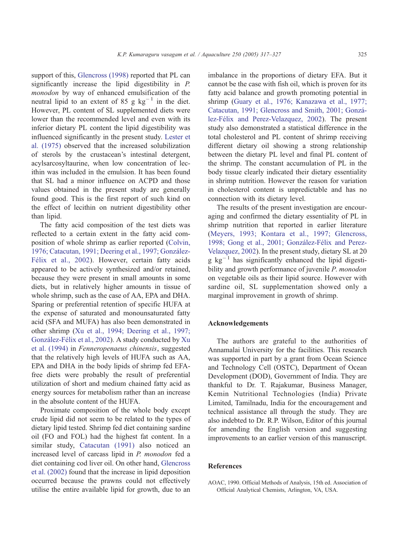<span id="page-8-0"></span>support of this, [Glencross \(1998\)](#page-9-0) reported that PL can significantly increase the lipid digestibility in P. monodon by way of enhanced emulsification of the neutral lipid to an extent of 85 g  $kg^{-1}$  in the diet. However, PL content of SL supplemented diets were lower than the recommended level and even with its inferior dietary PL content the lipid digestibility was influenced significantly in the present study. [Lester et](#page-9-0) al. (1975) observed that the increased solubilization of sterols by the crustacean's intestinal detergent, acylsarcosyltaurine, when low concentration of lecithin was included in the emulsion. It has been found that SL had a minor influence on ACPD and those values obtained in the present study are generally found good. This is the first report of such kind on the effect of lecithin on nutrient digestibility other than lipid.

The fatty acid composition of the test diets was reflected to a certain extent in the fatty acid composition of whole shrimp as earlier reported ([Colvin,](#page-9-0) 1976; Catacutan, 1991; Deering et al., 1997; González-Félix et al., 2002). However, certain fatty acids appeared to be actively synthesized and/or retained, because they were present in small amounts in some diets, but in relatively higher amounts in tissue of whole shrimp, such as the case of AA, EPA and DHA. Sparing or preferential retention of specific HUFA at the expense of saturated and monounsaturated fatty acid (SFA and MUFA) has also been demonstrated in other shrimp ([Xu et al., 1994; Deering et al., 1997;](#page-10-0) González-Félix et al., 2002). A study conducted by [Xu](#page-10-0) et al. (1994) in Fenneropenaeus chinensis, suggested that the relatively high levels of HUFA such as AA, EPA and DHA in the body lipids of shrimp fed EFAfree diets were probably the result of preferential utilization of short and medium chained fatty acid as energy sources for metabolism rather than an increase in the absolute content of the HUFA.

Proximate composition of the whole body except crude lipid did not seem to be related to the types of dietary lipid tested. Shrimp fed diet containing sardine oil (FO and FOL) had the highest fat content. In a similar study, [Catacutan \(1991\)](#page-9-0) also noticed an increased level of carcass lipid in P. monodon fed a diet containing cod liver oil. On other hand, [Glencross](#page-9-0) et al. (2002) found that the increase in lipid deposition occurred because the prawns could not effectively utilise the entire available lipid for growth, due to an imbalance in the proportions of dietary EFA. But it cannot be the case with fish oil, which is proven for its fatty acid balance and growth promoting potential in shrimp ([Guary et al., 1976; Kanazawa et al., 1977;](#page-9-0) Catacutan, 1991; Glencross and Smith, 2001; González-Félix and Perez-Velazquez, 2002). The present study also demonstrated a statistical difference in the total cholesterol and PL content of shrimp receiving different dietary oil showing a strong relationship between the dietary PL level and final PL content of the shrimp. The constant accumulation of PL in the body tissue clearly indicated their dietary essentiality in shrimp nutrition. However the reason for variation in cholesterol content is unpredictable and has no connection with its dietary level.

The results of the present investigation are encouraging and confirmed the dietary essentiality of PL in shrimp nutrition that reported in earlier literature ([Meyers, 1993; Kontara et al., 1997; Glencross,](#page-9-0) 1998; Gong et al., 2001; González-Félix and Perez-Velazquez, 2002). In the present study, dietary SL at 20  $g \text{kg}^{-1}$  has significantly enhanced the lipid digestibility and growth performance of juvenile P. monodon on vegetable oils as their lipid source. However with sardine oil, SL supplementation showed only a marginal improvement in growth of shrimp.

# Acknowledgements

The authors are grateful to the authorities of Annamalai University for the facilities. This research was supported in part by a grant from Ocean Science and Technology Cell (OSTC), Department of Ocean Development (DOD), Government of India. They are thankful to Dr. T. Rajakumar, Business Manager, Kemin Nutritional Technologies (India) Private Limited, Tamilnadu, India for the encouragement and technical assistance all through the study. They are also indebted to Dr. R.P. Wilson, Editor of this journal for amending the English version and suggesting improvements to an earlier version of this manuscript.

#### References

AOAC, 1990. Official Methods of Analysis, 15th ed. Association of Official Analytical Chemists, Arlington, VA, USA.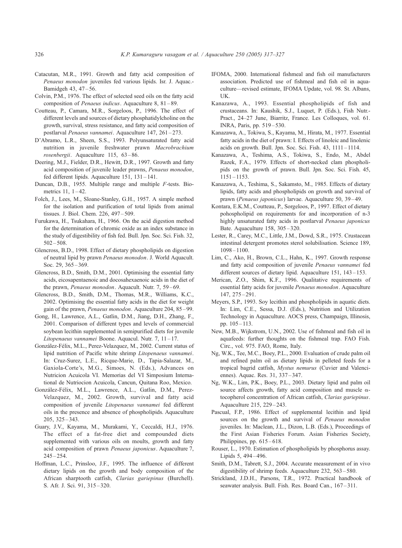- <span id="page-9-0"></span>Catacutan, M.R., 1991. Growth and fatty acid composition of Penaeus monodon juveniles fed various lipids. Isr. J. Aquac.- Bamidgeh 43, 47 – 56.
- Colvin, P.M., 1976. The effect of selected seed oils on the fatty acid composition of Penaeus indicus. Aquaculture 8, 81-89.
- Coutteau, P., Camara, M.R., Sorgeloos, P., 1996. The effect of different levels and sources of dietary phosphatidylcholine on the growth, survival, stress resistance, and fatty acid composition of postlarval Penaeus vannamei. Aquaculture 147, 261 – 273.
- D'Abramo, L.R., Sheen, S.S., 1993. Polyunsaturated fatty acid nutrition in juvenile freshwater prawn Macrobrachium rosenbergii. Aquaculture 115, 63-86.
- Deering, M.J., Fielder, D.R., Hewitt, D.R., 1997. Growth and fatty acid composition of juvenile leader prawns, Penaeus monodon, fed different lipids. Aquaculture 151, 131 – 141.
- Duncan, D.B., 1955. Multiple range and multiple F-tests. Biometrics 11, 1-42.
- Folch, J., Lees, M., Sloane-Stanley, G.H., 1957. A simple method for the isolation and purification of total lipids from animal tissues. J. Biol. Chem. 226, 497 – 509.
- Furukawa, H., Tsukahara, H., 1966. On the acid digestion method for the determination of chromic oxide as an index substance in the study of digestibility of fish fed. Bull. Jpn. Soc. Sci. Fish. 32,  $502 - 508$
- Glencross, B.D., 1998. Effect of dietary phospholipids on digestion of neutral lipid by prawn Penaeus monodon. J. World Aquacult. Soc. 29, 365-369.
- Glencross, B.D., Smith, D.M., 2001. Optimising the essential fatty acids, eicosapentaenoic and docosahexaenoic acids in the diet of the prawn, Penaeus monodon. Aquacult. Nutr. 7, 59-69.
- Glencross, B.D., Smith, D.M., Thomas, M.R., Williams, K.C., 2002. Optimising the essential fatty acids in the diet for weight gain of the prawn, Penaeus monodon. Aquaculture 204, 85 – 99.
- Gong, H., Lawrence, A.L., Gatlin, D.M., Jiang, D.H., Zhang, F., 2001. Comparison of different types and levels of commercial soybean lecithin supplemented in semipurified diets for juvenile Litopenaeus vannamei Boone. Aquacul. Nutr. 7, 11-17.
- González-Félix, M.L., Perez-Velazquez, M., 2002. Current status of lipid nutrition of Pacific white shrimp Litopenaeus vannamei. In: Cruz-Surez, L.E., Ricque-Marie, D., Tapia-Salazar, M., Gaxiola-Corte's, M.G., Simoes, N. (Eds.), Advances on Nutricion Acuicola VI. Memorias del VI Simposium International de Nutriocion Acuicola, Cancun, Quitana Roo, Mexico.
- González-Félix, M.L., Lawrence, A.L., Gatlin, D.M., Perez-Velazquez, M., 2002. Growth, survival and fatty acid composition of juvenile Litopenaeus vannamei fed different oils in the presence and absence of phospholipids. Aquaculture 205, 325 – 343.
- Guary, J.V., Kayama, M., Murakami, Y., Ceccaldi, H.J., 1976. The effect of a fat-free diet and compounded diets supplemented with various oils on moults, growth and fatty acid composition of prawn Penaeus japonicus. Aquaculture 7,  $245 - 254.$
- Hoffman, L.C., Prinsloo, J.F., 1995. The influence of different dietary lipids on the growth and body composition of the African sharptooth catfish, Clarias gariepinus (Burchell). S. Afr. J. Sci. 91, 315 – 320.
- IFOMA, 2000. International fishmeal and fish oil manufacturers association. Predicted use of fishmeal and fish oil in aquaculture—revised estimate, IFOMA Update, vol. 98. St. Albans, UK.
- Kanazawa, A., 1993. Essential phospholipids of fish and crustaceans. In: Kaushik, S.J., Luquet, P. (Eds.), Fish Nutr.- Pract., 24–27 June, Biarritz, France. Les Colloques, vol. 61. INRA, Paris, pp. 519 – 530.
- Kanazawa, A., Tokiwa, S., Kayama, M., Hirata, M., 1977. Essential fatty acids in the diet of prawn: I. Effects of linoleic and linolenic acids on growth. Bull. Jpn. Soc. Sci. Fish. 43, 1111 – 1114.
- Kanazawa, A., Teshima, A.S., Tokiwa, S., Endo, M., Abdel Razek, F.A., 1979. Effects of short-necked clam phospholipids on the growth of prawn. Bull. Jpn. Soc. Sci. Fish. 45, 1151 – 1153.
- Kanazawa, A., Teshima, S., Sakamsto, M., 1985. Effects of dietary lipids, fatty acids and phospholipids on growth and survival of prawn (Penaeus japonicus) larvae. Aquaculture 50, 39 – 49.
- Kontara, E.K.M., Coutteau, P., Sorgeloos, P., 1997. Effect of dietary pohospholipid on requirements for and incorporation of n-3 highly unsaturated fatty acids in postlarval Penaeus japonicus Bate. Aquaculture 158, 305 – 320.
- Lester, R., Carey, M.C., Little, J.M., Dowd, S.R., 1975. Crustacean intestinal detergent promotes sterol solubilisation. Science 189, 1098 – 1100.
- Lim, C., Ako, H., Brown, C.L., Hahn, K., 1997. Growth response and fatty acid composition of juvenile Penaeus vannamei fed different sources of dietary lipid. Aquaculture 151, 143–153.
- Merican, Z.O., Shim, K.F., 1996. Qualitative requirements of essential fatty acids for juvenile Penaeus monodon. Aquaculture  $147, 275 - 291$
- Meyers, S.P., 1993. Soy lecithin and phospholipids in aquatic diets. In: Lim, C.E., Sessa, D.J. (Eds.), Nutrition and Utilization Technology in Aquaculture. AOCS press, Champaign, Illinosis, pp. 105 – 113.
- New, M.B., Wijkstrom, U.N., 2002. Use of fishmeal and fish oil in aquafeeds: further thoughts on the fishmeal trap. FAO Fish. Circ., vol. 975. FAO, Rome, Italy.
- Ng, W.K., Tee, M.C., Boey, P.L., 2000. Evaluation of crude palm oil and refined palm oil as dietary lipids in pelleted feeds for a tropical bagrid catfish, Mystus nemurus (Cuvier and Valenciennes). Aquac. Res. 31, 337 – 347.
- Ng, W.K., Lim, P.K., Boey, P.L., 2003. Dietary lipid and palm oil source affects growth, fatty acid composition and muscle  $\alpha$ tocopherol concentration of African catfish, Clarias gariepinus. Aquaculture 215, 229 – 243.
- Pascual, F.P., 1986. Effect of supplemental lecithin and lipid sources on the growth and survival of Penaeus monodon juveniles. In: Maclean, J.L., Dizon, L.B. (Eds.), Proceedings of the First Asian Fisheries Forum. Asian Fisheries Society, Philippines, pp.  $615 - 618$ .
- Rouser, L., 1970. Estimation of phospholipids by phosphorus assay. Lipids 5, 494 – 496.
- Smith, D.M., Tabrett, S.J., 2004. Accurate measurement of in vivo digestibility of shrimp feeds. Aquaculture 232, 563 – 580.
- Strickland, J.D.H., Parsons, T.R., 1972. Practical handbook of seawater analysis. Bull. Fish. Res. Board Can., 167-311.